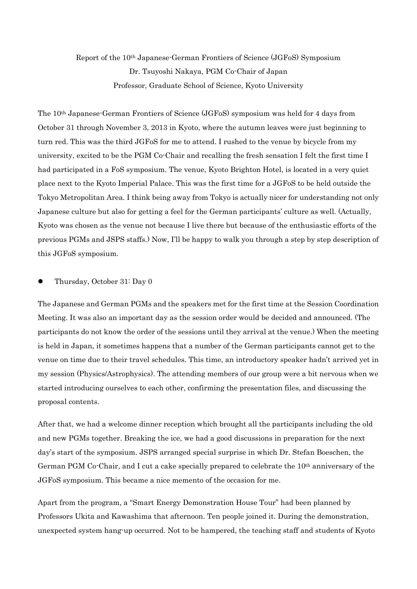## Report of the 10th Japanese-German Frontiers of Science (JGFoS) Symposium Dr. Tsuyoshi Nakaya, PGM Co-Chair of Japan Professor, Graduate School of Science, Kyoto University

The 10th Japanese-German Frontiers of Science (JGFoS) symposium was held for 4 days from October 31 through November 3, 2013 in Kyoto, where the autumn leaves were just beginning to turn red. This was the third JGFoS for me to attend. I rushed to the venue by bicycle from my university, excited to be the PGM Co-Chair and recalling the fresh sensation I felt the first time I had participated in a FoS symposium. The venue, Kyoto Brighton Hotel, is located in a very quiet place next to the Kyoto Imperial Palace. This was the first time for a JGFoS to be held outside the Tokyo Metropolitan Area. I think being away from Tokyo is actually nicer for understanding not only Japanese culture but also for getting a feel for the German participants' culture as well. (Actually, Kyoto was chosen as the venue not because I live there but because of the enthusiastic efforts of the previous PGMs and JSPS staffs.) Now, I'll be happy to walk you through a step by step description of this JGFoS symposium.

## Thursday, October 31: Day 0

The Japanese and German PGMs and the speakers met for the first time at the Session Coordination Meeting. It was also an important day as the session order would be decided and announced. (The participants do not know the order of the sessions until they arrival at the venue.) When the meeting is held in Japan, it sometimes happens that a number of the German participants cannot get to the venue on time due to their travel schedules. This time, an introductory speaker hadn't arrived yet in my session (Physics/Astrophysics). The attending members of our group were a bit nervous when we started introducing ourselves to each other, confirming the presentation files, and discussing the proposal contents.

After that, we had a welcome dinner reception which brought all the participants including the old and new PGMs together. Breaking the ice, we had a good discussions in preparation for the next day's start of the symposium. JSPS arranged special surprise in which Dr. Stefan Boeschen, the German PGM Co-Chair, and I cut a cake specially prepared to celebrate the 10<sup>th</sup> anniversary of the JGFoS symposium. This became a nice memento of the occasion for me.

Apart from the program, a "Smart Energy Demonstration House Tour" had been planned by Professors Ukita and Kawashima that afternoon. Ten people joined it. During the demonstration, unexpected system hang-up occurred. Not to be hampered, the teaching staff and students of Kyoto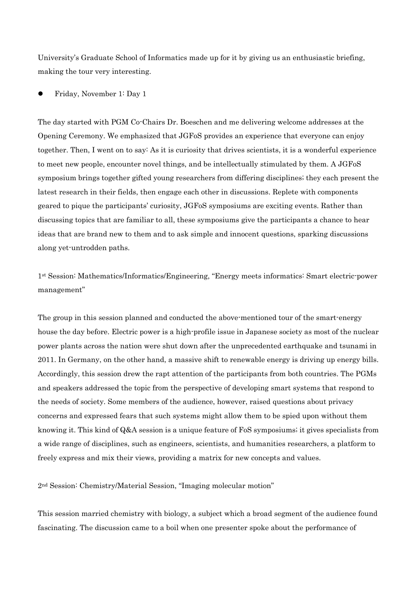University's Graduate School of Informatics made up for it by giving us an enthusiastic briefing, making the tour very interesting.

Friday, November 1: Day 1

The day started with PGM Co-Chairs Dr. Boeschen and me delivering welcome addresses at the Opening Ceremony. We emphasized that JGFoS provides an experience that everyone can enjoy together. Then, I went on to say: As it is curiosity that drives scientists, it is a wonderful experience to meet new people, encounter novel things, and be intellectually stimulated by them. A JGFoS symposium brings together gifted young researchers from differing disciplines; they each present the latest research in their fields, then engage each other in discussions. Replete with components geared to pique the participants' curiosity, JGFoS symposiums are exciting events. Rather than discussing topics that are familiar to all, these symposiums give the participants a chance to hear ideas that are brand new to them and to ask simple and innocent questions, sparking discussions along yet-untrodden paths.

1st Session: Mathematics/Informatics/Engineering, "Energy meets informatics: Smart electric-power management"

The group in this session planned and conducted the above-mentioned tour of the smart-energy house the day before. Electric power is a high-profile issue in Japanese society as most of the nuclear power plants across the nation were shut down after the unprecedented earthquake and tsunami in 2011. In Germany, on the other hand, a massive shift to renewable energy is driving up energy bills. Accordingly, this session drew the rapt attention of the participants from both countries. The PGMs and speakers addressed the topic from the perspective of developing smart systems that respond to the needs of society. Some members of the audience, however, raised questions about privacy concerns and expressed fears that such systems might allow them to be spied upon without them knowing it. This kind of Q&A session is a unique feature of FoS symposiums; it gives specialists from a wide range of disciplines, such as engineers, scientists, and humanities researchers, a platform to freely express and mix their views, providing a matrix for new concepts and values.

2nd Session: Chemistry/Material Session, "Imaging molecular motion"

This session married chemistry with biology, a subject which a broad segment of the audience found fascinating. The discussion came to a boil when one presenter spoke about the performance of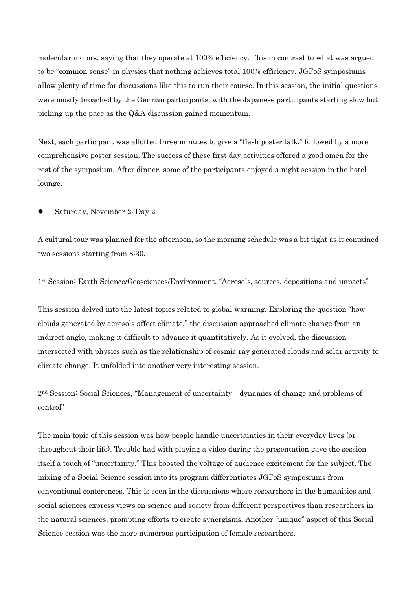molecular motors, saying that they operate at 100% efficiency. This in contrast to what was argued to be "common sense" in physics that nothing achieves total 100% efficiency. JGFoS symposiums allow plenty of time for discussions like this to run their course. In this session, the initial questions were mostly broached by the German participants, with the Japanese participants starting slow but picking up the pace as the Q&A discussion gained momentum.

Next, each participant was allotted three minutes to give a "flesh poster talk," followed by a more comprehensive poster session. The success of these first day activities offered a good omen for the rest of the symposium. After dinner, some of the participants enjoyed a night session in the hotel lounge.

Saturday, November 2: Day 2

A cultural tour was planned for the afternoon, so the morning schedule was a bit tight as it contained two sessions starting from 8:30.

1st Session: Earth Science/Geosciences/Environment, "Aerosols, sources, depositions and impacts"

This session delved into the latest topics related to global warming. Exploring the question "how clouds generated by aerosols affect climate," the discussion approached climate change from an indirect angle, making it difficult to advance it quantitatively. As it evolved, the discussion intersected with physics such as the relationship of cosmic-ray generated clouds and solar activity to climate change. It unfolded into another very interesting session.

2nd Session: Social Sciences, "Management of uncertainty—dynamics of change and problems of control"

The main topic of this session was how people handle uncertainties in their everyday lives (or throughout their life). Trouble had with playing a video during the presentation gave the session itself a touch of "uncertainty." This boosted the voltage of audience excitement for the subject. The mixing of a Social Science session into its program differentiates JGFoS symposiums from conventional conferences. This is seen in the discussions where researchers in the humanities and social sciences express views on science and society from different perspectives than researchers in the natural sciences, prompting efforts to create synergisms. Another "unique" aspect of this Social Science session was the more numerous participation of female researchers.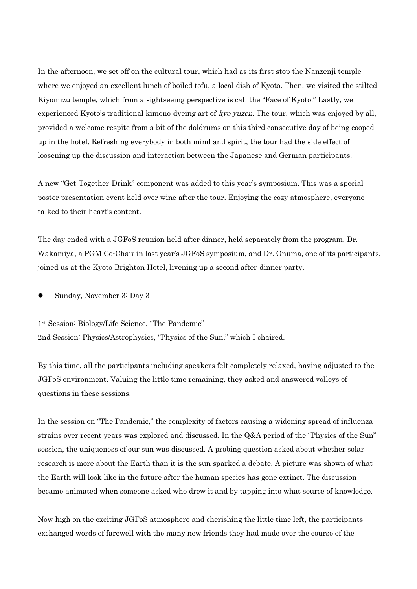In the afternoon, we set off on the cultural tour, which had as its first stop the Nanzenji temple where we enjoyed an excellent lunch of boiled tofu, a local dish of Kyoto. Then, we visited the stilted Kiyomizu temple, which from a sightseeing perspective is call the "Face of Kyoto." Lastly, we experienced Kyoto's traditional kimono-dyeing art of kyo yuzen. The tour, which was enjoyed by all, provided a welcome respite from a bit of the doldrums on this third consecutive day of being cooped up in the hotel. Refreshing everybody in both mind and spirit, the tour had the side effect of loosening up the discussion and interaction between the Japanese and German participants.

A new "Get-Together-Drink" component was added to this year's symposium. This was a special poster presentation event held over wine after the tour. Enjoying the cozy atmosphere, everyone talked to their heart's content.

The day ended with a JGFoS reunion held after dinner, held separately from the program. Dr. Wakamiya, a PGM Co-Chair in last year's JGFoS symposium, and Dr. Onuma, one of its participants, joined us at the Kyoto Brighton Hotel, livening up a second after-dinner party.

Sunday, November 3: Day 3

1st Session: Biology/Life Science, "The Pandemic" 2nd Session: Physics/Astrophysics, "Physics of the Sun," which I chaired.

By this time, all the participants including speakers felt completely relaxed, having adjusted to the JGFoS environment. Valuing the little time remaining, they asked and answered volleys of questions in these sessions.

In the session on "The Pandemic," the complexity of factors causing a widening spread of influenza strains over recent years was explored and discussed. In the Q&A period of the "Physics of the Sun" session, the uniqueness of our sun was discussed. A probing question asked about whether solar research is more about the Earth than it is the sun sparked a debate. A picture was shown of what the Earth will look like in the future after the human species has gone extinct. The discussion became animated when someone asked who drew it and by tapping into what source of knowledge.

Now high on the exciting JGFoS atmosphere and cherishing the little time left, the participants exchanged words of farewell with the many new friends they had made over the course of the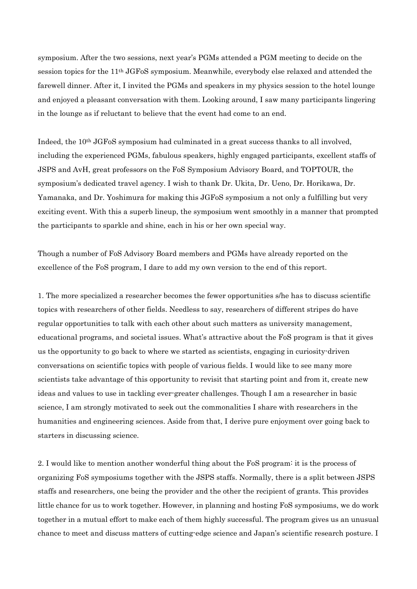symposium. After the two sessions, next year's PGMs attended a PGM meeting to decide on the session topics for the 11th JGFoS symposium. Meanwhile, everybody else relaxed and attended the farewell dinner. After it, I invited the PGMs and speakers in my physics session to the hotel lounge and enjoyed a pleasant conversation with them. Looking around, I saw many participants lingering in the lounge as if reluctant to believe that the event had come to an end.

Indeed, the 10th JGFoS symposium had culminated in a great success thanks to all involved, including the experienced PGMs, fabulous speakers, highly engaged participants, excellent staffs of JSPS and AvH, great professors on the FoS Symposium Advisory Board, and TOPTOUR, the symposium's dedicated travel agency. I wish to thank Dr. Ukita, Dr. Ueno, Dr. Horikawa, Dr. Yamanaka, and Dr. Yoshimura for making this JGFoS symposium a not only a fulfilling but very exciting event. With this a superb lineup, the symposium went smoothly in a manner that prompted the participants to sparkle and shine, each in his or her own special way.

Though a number of FoS Advisory Board members and PGMs have already reported on the excellence of the FoS program, I dare to add my own version to the end of this report.

1. The more specialized a researcher becomes the fewer opportunities s/he has to discuss scientific topics with researchers of other fields. Needless to say, researchers of different stripes do have regular opportunities to talk with each other about such matters as university management, educational programs, and societal issues. What's attractive about the FoS program is that it gives us the opportunity to go back to where we started as scientists, engaging in curiosity-driven conversations on scientific topics with people of various fields. I would like to see many more scientists take advantage of this opportunity to revisit that starting point and from it, create new ideas and values to use in tackling ever-greater challenges. Though I am a researcher in basic science, I am strongly motivated to seek out the commonalities I share with researchers in the humanities and engineering sciences. Aside from that, I derive pure enjoyment over going back to starters in discussing science.

2. I would like to mention another wonderful thing about the FoS program: it is the process of organizing FoS symposiums together with the JSPS staffs. Normally, there is a split between JSPS staffs and researchers, one being the provider and the other the recipient of grants. This provides little chance for us to work together. However, in planning and hosting FoS symposiums, we do work together in a mutual effort to make each of them highly successful. The program gives us an unusual chance to meet and discuss matters of cutting-edge science and Japan's scientific research posture. I